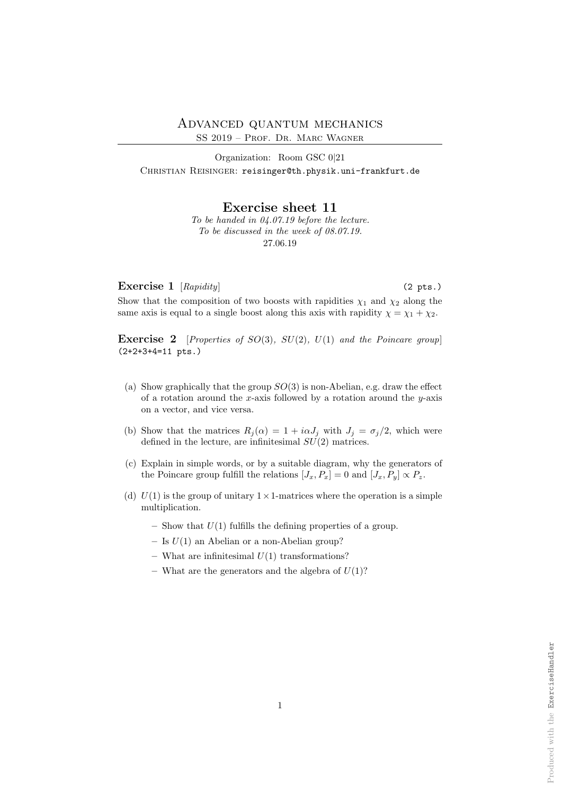Organization: Room GSC 0|21 CHRISTIAN REISINGER: reisinger@th.physik.uni-frankfurt.de

Exercise sheet 11

To be handed in 04.07.19 before the lecture. To be discussed in the week of 08.07.19. 27.06.19

Exercise 1  $[Rapidity]$  (2 pts.)

Show that the composition of two boosts with rapidities  $\chi_1$  and  $\chi_2$  along the same axis is equal to a single boost along this axis with rapidity  $\chi = \chi_1 + \chi_2$ .

**Exercise 2** [Properties of SO(3), SU(2), U(1) and the Poincare group] (2+2+3+4=11 pts.)

- (a) Show graphically that the group  $SO(3)$  is non-Abelian, e.g. draw the effect of a rotation around the x-axis followed by a rotation around the  $y$ -axis on a vector, and vice versa.
- (b) Show that the matrices  $R_j(\alpha) = 1 + i\alpha J_j$  with  $J_j = \sigma_j/2$ , which were defined in the lecture, are infinitesimal  $SU(2)$  matrices.
- (c) Explain in simple words, or by a suitable diagram, why the generators of the Poincare group fulfill the relations  $[J_x, P_x] = 0$  and  $[J_x, P_y] \propto P_z$ .
- (d)  $U(1)$  is the group of unitary  $1 \times 1$ -matrices where the operation is a simple multiplication.
	- Show that  $U(1)$  fulfills the defining properties of a group.
	- Is  $U(1)$  an Abelian or a non-Abelian group?
	- What are infinitesimal  $U(1)$  transformations?
	- What are the generators and the algebra of  $U(1)$ ?